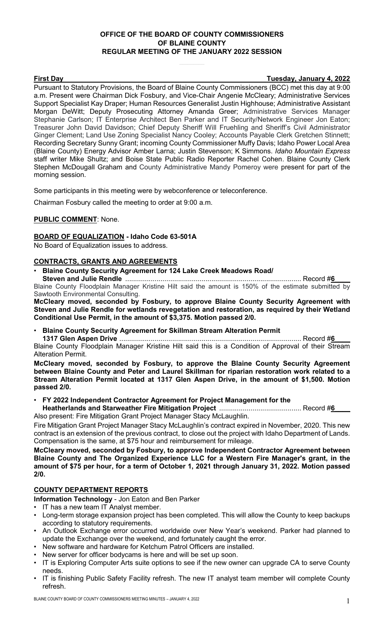# **OFFICE OF THE BOARD OF COUNTY COMMISSIONERS OF BLAINE COUNTY REGULAR MEETING OF THE JANUARY 2022 SESSION**

**First Day Tuesday, January 4, 2022**

Pursuant to Statutory Provisions, the Board of Blaine County Commissioners (BCC) met this day at 9:00 a.m. Present were Chairman Dick Fosbury, and Vice-Chair Angenie McCleary; Administrative Services Support Specialist Kay Draper; Human Resources Generalist Justin Highhouse; Administrative Assistant Morgan DeWitt; Deputy Prosecuting Attorney Amanda Greer; Administrative Services Manager Stephanie Carlson; IT Enterprise Architect Ben Parker and IT Security/Network Engineer Jon Eaton; Treasurer John David Davidson; Chief Deputy Sheriff Will Fruehling and Sheriff's Civil Administrator Ginger Clement; Land Use Zoning Specialist Nancy Cooley; Accounts Payable Clerk Gretchen Stinnett; Recording Secretary Sunny Grant; incoming County Commissioner Muffy Davis; Idaho Power Local Area (Blaine County) Energy Advisor Amber Larna; Justin Stevenson; K Simmons. *Idaho Mountain Express* staff writer Mike Shultz; and Boise State Public Radio Reporter Rachel Cohen. Blaine County Clerk Stephen McDougall Graham and County Administrative Mandy Pomeroy were present for part of the morning session.

Some participants in this meeting were by webconference or teleconference.

Chairman Fosbury called the meeting to order at 9:00 a.m.

# **PUBLIC COMMENT**: None.

## **BOARD OF EQUALIZATION - Idaho Code 63-501A**

No Board of Equalization issues to address.

# **CONTRACTS, GRANTS AND AGREEMENTS**

• **Blaine County Security Agreement for 124 Lake Creek Meadows Road/**

**Steven and Julie Rendle** .......................................................................................... Record #**6\_\_\_\_** Blaine County Floodplain Manager Kristine Hilt said the amount is 150% of the estimate submitted by Sawtooth Environmental Consulting.

**McCleary moved, seconded by Fosbury, to approve Blaine County Security Agreement with Steven and Julie Rendle for wetlands revegetation and restoration, as required by their Wetland Conditional Use Permit, in the amount of \$3,375. Motion passed 2/0.**

• **Blaine County Security Agreement for Skillman Stream Alteration Permit**

**1317 Glen Aspen Drive** ............................................................................................. Record #**6\_\_\_\_** Blaine County Floodplain Manager Kristine Hilt said this is a Condition of Approval of their Stream Alteration Permit.

**McCleary moved, seconded by Fosbury, to approve the Blaine County Security Agreement between Blaine County and Peter and Laurel Skillman for riparian restoration work related to a Stream Alteration Permit located at 1317 Glen Aspen Drive, in the amount of \$1,500. Motion passed 2/0.**

• **FY 2022 Independent Contractor Agreement for Project Management for the Heatherlands and Starweather Fire Mitigation Project** .......................................... Record #**6\_\_\_\_**

Also present: Fire Mitigation Grant Project Manager Stacy McLaughlin.

Fire Mitigation Grant Project Manager Stacy McLaughlin's contract expired in November, 2020. This new contract is an extension of the previous contract, to close out the project with Idaho Department of Lands. Compensation is the same, at \$75 hour and reimbursement for mileage.

**McCleary moved, seconded by Fosbury, to approve Independent Contractor Agreement between Blaine County and The Organized Experience LLC for a Western Fire Manager's grant, in the amount of \$75 per hour, for a term of October 1, 2021 through January 31, 2022. Motion passed 2/0.**

# **COUNTY DEPARTMENT REPORTS**

**Information Technology** - Jon Eaton and Ben Parker

- IT has a new team IT Analyst member.
- Long-term storage expansion project has been completed. This will allow the County to keep backups according to statutory requirements.
- An Outlook Exchange error occurred worldwide over New Year's weekend. Parker had planned to update the Exchange over the weekend, and fortunately caught the error.
- New software and hardware for Ketchum Patrol Officers are installed.
- New server for officer bodycams is here and will be set up soon.
- IT is Exploring Computer Arts suite options to see if the new owner can upgrade CA to serve County needs.
- IT is finishing Public Safety Facility refresh. The new IT analyst team member will complete County refresh.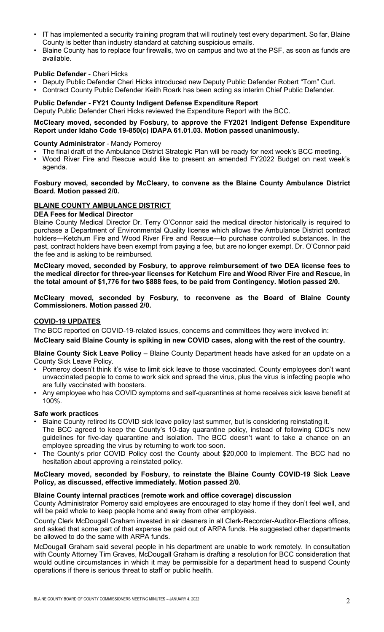- IT has implemented a security training program that will routinely test every department. So far, Blaine County is better than industry standard at catching suspicious emails.
- Blaine County has to replace four firewalls, two on campus and two at the PSF, as soon as funds are available.

## **Public Defender** - Cheri Hicks

- Deputy Public Defender Cheri Hicks introduced new Deputy Public Defender Robert "Tom" Curl.
- Contract County Public Defender Keith Roark has been acting as interim Chief Public Defender.

## **Public Defender - FY21 County Indigent Defense Expenditure Report**

Deputy Public Defender Cheri Hicks reviewed the Expenditure Report with the BCC.

# **McCleary moved, seconded by Fosbury, to approve the FY2021 Indigent Defense Expenditure Report under Idaho Code 19-850(c) IDAPA 61.01.03. Motion passed unanimously.**

## **County Administrator** - Mandy Pomeroy

- The final draft of the Ambulance District Strategic Plan will be ready for next week's BCC meeting.
- Wood River Fire and Rescue would like to present an amended FY2022 Budget on next week's agenda.

## **Fosbury moved, seconded by McCleary, to convene as the Blaine County Ambulance District Board. Motion passed 2/0.**

## **BLAINE COUNTY AMBULANCE DISTRICT**

## **DEA Fees for Medical Director**

Blaine County Medical Director Dr. Terry O'Connor said the medical director historically is required to purchase a Department of Environmental Quality license which allows the Ambulance District contract holders—Ketchum Fire and Wood River Fire and Rescue—to purchase controlled substances. In the past, contract holders have been exempt from paying a fee, but are no longer exempt. Dr. O'Connor paid the fee and is asking to be reimbursed.

**McCleary moved, seconded by Fosbury, to approve reimbursement of two DEA license fees to the medical director for three-year licenses for Ketchum Fire and Wood River Fire and Rescue, in the total amount of \$1,776 for two \$888 fees, to be paid from Contingency. Motion passed 2/0.**

**McCleary moved, seconded by Fosbury, to reconvene as the Board of Blaine County Commissioners. Motion passed 2/0.**

## **COVID-19 UPDATES**

The BCC reported on COVID-19-related issues, concerns and committees they were involved in:

## **McCleary said Blaine County is spiking in new COVID cases, along with the rest of the country.**

**Blaine County Sick Leave Policy** – Blaine County Department heads have asked for an update on a County Sick Leave Policy.

- Pomeroy doesn't think it's wise to limit sick leave to those vaccinated. County employees don't want unvaccinated people to come to work sick and spread the virus, plus the virus is infecting people who are fully vaccinated with boosters.
- Any employee who has COVID symptoms and self-quarantines at home receives sick leave benefit at 100%.

## **Safe work practices**

- Blaine County retired its COVID sick leave policy last summer, but is considering reinstating it. The BCC agreed to keep the County's 10-day quarantine policy, instead of following CDC's new guidelines for five-day quarantine and isolation. The BCC doesn't want to take a chance on an employee spreading the virus by returning to work too soon.
- The County's prior COVID Policy cost the County about \$20,000 to implement. The BCC had no hesitation about approving a reinstated policy.

## **McCleary moved, seconded by Fosbury, to reinstate the Blaine County COVID-19 Sick Leave Policy, as discussed, effective immediately. Motion passed 2/0.**

## **Blaine County internal practices (remote work and office coverage) discussion**

County Administrator Pomeroy said employees are encouraged to stay home if they don't feel well, and will be paid whole to keep people home and away from other employees.

County Clerk McDougall Graham invested in air cleaners in all Clerk-Recorder-Auditor-Elections offices, and asked that some part of that expense be paid out of ARPA funds. He suggested other departments be allowed to do the same with ARPA funds.

McDougall Graham said several people in his department are unable to work remotely. In consultation with County Attorney Tim Graves, McDougall Graham is drafting a resolution for BCC consideration that would outline circumstances in which it may be permissible for a department head to suspend County operations if there is serious threat to staff or public health.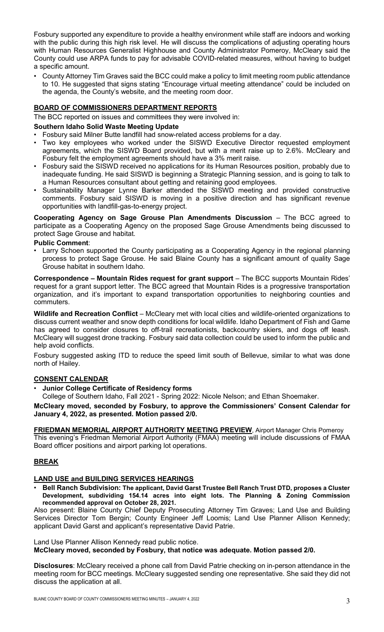Fosbury supported any expenditure to provide a healthy environment while staff are indoors and working with the public during this high risk level. He will discuss the complications of adjusting operating hours with Human Resources Generalist Highhouse and County Administrator Pomeroy, McCleary said the County could use ARPA funds to pay for advisable COVID-related measures, without having to budget a specific amount.

• County Attorney Tim Graves said the BCC could make a policy to limit meeting room public attendance to 10. He suggested that signs stating "Encourage virtual meeting attendance" could be included on the agenda, the County's website, and the meeting room door.

# **BOARD OF COMMISSIONERS DEPARTMENT REPORTS**

The BCC reported on issues and committees they were involved in:

## **Southern Idaho Solid Waste Meeting Update**

- Fosbury said Milner Butte landfill had snow-related access problems for a day.
- Two key employees who worked under the SISWD Executive Director requested employment agreements, which the SISWD Board provided, but with a merit raise up to 2.6%. McCleary and Fosbury felt the employment agreements should have a 3% merit raise.
- Fosbury said the SISWD received no applications for its Human Resources position, probably due to inadequate funding. He said SISWD is beginning a Strategic Planning session, and is going to talk to a Human Resources consultant about getting and retaining good employees.
- Sustainability Manager Lynne Barker attended the SISWD meeting and provided constructive comments. Fosbury said SISWD is moving in a positive direction and has significant revenue opportunities with landfill-gas-to-energy project.

**Cooperating Agency on Sage Grouse Plan Amendments Discussion** – The BCC agreed to participate as a Cooperating Agency on the proposed Sage Grouse Amendments being discussed to protect Sage Grouse and habitat.

## **Public Comment**:

• Larry Schoen supported the County participating as a Cooperating Agency in the regional planning process to protect Sage Grouse. He said Blaine County has a significant amount of quality Sage Grouse habitat in southern Idaho.

**Correspondence – Mountain Rides request for grant support** – The BCC supports Mountain Rides' request for a grant support letter. The BCC agreed that Mountain Rides is a progressive transportation organization, and it's important to expand transportation opportunities to neighboring counties and commuters.

**Wildlife and Recreation Conflict** – McCleary met with local cities and wildlife-oriented organizations to discuss current weather and snow depth conditions for local wildlife. Idaho Department of Fish and Game has agreed to consider closures to off-trail recreationists, backcountry skiers, and dogs off leash. McCleary will suggest drone tracking. Fosbury said data collection could be used to inform the public and help avoid conflicts.

Fosbury suggested asking ITD to reduce the speed limit south of Bellevue, similar to what was done north of Hailey.

# **CONSENT CALENDAR**

• **Junior College Certificate of Residency forms**

College of Southern Idaho, Fall 2021 - Spring 2022: Nicole Nelson; and Ethan Shoemaker.

**McCleary moved, seconded by Fosbury, to approve the Commissioners' Consent Calendar for January 4, 2022, as presented. Motion passed 2/0.**

**FRIEDMAN MEMORIAL AIRPORT AUTHORITY MEETING PREVIEW**, Airport Manager Chris Pomeroy This evening's Friedman Memorial Airport Authority (FMAA) meeting will include discussions of FMAA Board officer positions and airport parking lot operations.

# **BREAK**

## **LAND USE and BUILDING SERVICES HEARINGS**

• **Bell Ranch Subdivision: The applicant, David Garst Trustee Bell Ranch Trust DTD, proposes a Cluster Development, subdividing 154.14 acres into eight lots. The Planning & Zoning Commission recommended approval on October 28, 2021.**

Also present: Blaine County Chief Deputy Prosecuting Attorney Tim Graves; Land Use and Building Services Director Tom Bergin; County Engineer Jeff Loomis; Land Use Planner Allison Kennedy; applicant David Garst and applicant's representative David Patrie.

Land Use Planner Allison Kennedy read public notice.

**McCleary moved, seconded by Fosbury, that notice was adequate. Motion passed 2/0.**

**Disclosures**: McCleary received a phone call from David Patrie checking on in-person attendance in the meeting room for BCC meetings. McCleary suggested sending one representative. She said they did not discuss the application at all.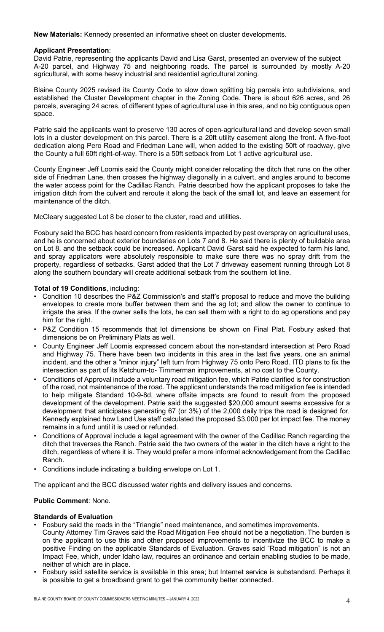**New Materials:** Kennedy presented an informative sheet on cluster developments.

## **Applicant Presentation**:

David Patrie, representing the applicants David and Lisa Garst, presented an overview of the subject A-20 parcel, and Highway 75 and neighboring roads. The parcel is surrounded by mostly A-20 agricultural, with some heavy industrial and residential agricultural zoning.

Blaine County 2025 revised its County Code to slow down splitting big parcels into subdivisions, and established the Cluster Development chapter in the Zoning Code. There is about 626 acres, and 26 parcels, averaging 24 acres, of different types of agricultural use in this area, and no big contiguous open space.

Patrie said the applicants want to preserve 130 acres of open-agricultural land and develop seven small lots in a cluster development on this parcel. There is a 20ft utility easement along the front. A five-foot dedication along Pero Road and Friedman Lane will, when added to the existing 50ft of roadway, give the County a full 60ft right-of-way. There is a 50ft setback from Lot 1 active agricultural use.

County Engineer Jeff Loomis said the County might consider relocating the ditch that runs on the other side of Friedman Lane, then crosses the highway diagonally in a culvert, and angles around to become the water access point for the Cadillac Ranch. Patrie described how the applicant proposes to take the irrigation ditch from the culvert and reroute it along the back of the small lot, and leave an easement for maintenance of the ditch.

McCleary suggested Lot 8 be closer to the cluster, road and utilities.

Fosbury said the BCC has heard concern from residents impacted by pest overspray on agricultural uses, and he is concerned about exterior boundaries on Lots 7 and 8. He said there is plenty of buildable area on Lot 8, and the setback could be increased. Applicant David Garst said he expected to farm his land, and spray applicators were absolutely responsible to make sure there was no spray drift from the property, regardless of setbacks. Garst added that the Lot 7 driveway easement running through Lot 8 along the southern boundary will create additional setback from the southern lot line.

## **Total of 19 Conditions**, including:

- Condition 10 describes the P&Z Commission's and staff's proposal to reduce and move the building envelopes to create more buffer between them and the ag lot; and allow the owner to continue to irrigate the area. If the owner sells the lots, he can sell them with a right to do ag operations and pay him for the right.
- P&Z Condition 15 recommends that lot dimensions be shown on Final Plat. Fosbury asked that dimensions be on Preliminary Plats as well.
- County Engineer Jeff Loomis expressed concern about the non-standard intersection at Pero Road and Highway 75. There have been two incidents in this area in the last five years, one an animal incident, and the other a "minor injury" left turn from Highway 75 onto Pero Road. ITD plans to fix the intersection as part of its Ketchum-to- Timmerman improvements, at no cost to the County.
- Conditions of Approval include a voluntary road mitigation fee, which Patrie clarified is for construction of the road, not maintenance of the road. The applicant understands the road mitigation fee is intended to help mitigate Standard 10-9-8d, where offsite impacts are found to result from the proposed development of the development. Patrie said the suggested \$20,000 amount seems excessive for a development that anticipates generating 67 (or 3%) of the 2,000 daily trips the road is designed for. Kennedy explained how Land Use staff calculated the proposed \$3,000 per lot impact fee. The money remains in a fund until it is used or refunded.
- Conditions of Approval include a legal agreement with the owner of the Cadillac Ranch regarding the ditch that traverses the Ranch. Patrie said the two owners of the water in the ditch have a right to the ditch, regardless of where it is. They would prefer a more informal acknowledgement from the Cadillac Ranch.
- Conditions include indicating a building envelope on Lot 1.

The applicant and the BCC discussed water rights and delivery issues and concerns.

# **Public Comment**: None.

## **Standards of Evaluation**

- Fosbury said the roads in the "Triangle" need maintenance, and sometimes improvements. County Attorney Tim Graves said the Road Mitigation Fee should not be a negotiation. The burden is on the applicant to use this and other proposed improvements to incentivize the BCC to make a positive Finding on the applicable Standards of Evaluation. Graves said "Road mitigation" is not an Impact Fee, which, under Idaho law, requires an ordinance and certain enabling studies to be made, neither of which are in place.
- Fosbury said satellite service is available in this area; but Internet service is substandard. Perhaps it is possible to get a broadband grant to get the community better connected.